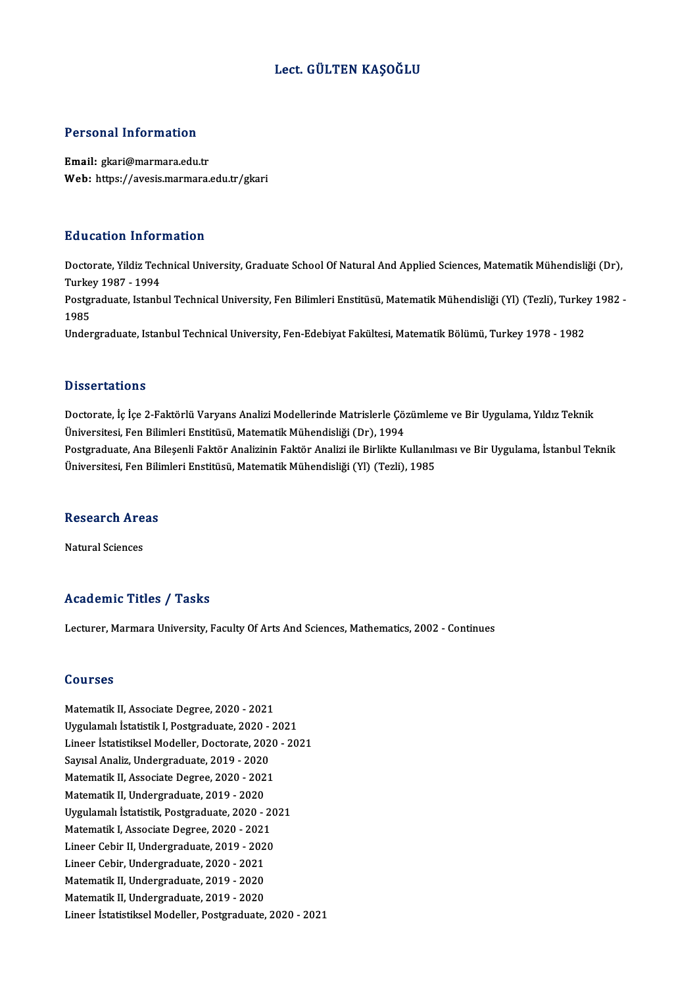### Lect. GÜLTEN KAŞOĞLU

#### Personal Information

Email: gkari@marmara.edu.tr Web: https://avesis.marmara.edu.tr/gkari

#### Education Information

**Education Information**<br>Doctorate, Yildiz Technical University, Graduate School Of Natural And Applied Sciences, Matematik Mühendisliği (Dr),<br>Turkey 1987, 1994 nd decaders 11100<br>Doctorate, Yildiz Tecl<br>Turkey 1987 - 1994<br>Bostavaduate, Istanb Doctorate, Yildiz Technical University, Graduate School Of Natural And Applied Sciences, Matematik Mühendisliği (Dr),<br>Turkey 1987 - 1994<br>Postgraduate, Istanbul Technical University, Fen Bilimleri Enstitüsü, Matematik Mühen Turke<br>Postgi<br>1985<br>Under Postgraduate, Istanbul Technical University, Fen Bilimleri Enstitüsü, Matematik Mühendisliği (Yl) (Tezli), Turke<br>1985<br>Undergraduate, Istanbul Technical University, Fen-Edebiyat Fakültesi, Matematik Bölümü, Turkey 1978 - 19 Undergraduate, Istanbul Technical University, Fen-Edebiyat Fakültesi, Matematik Bölümü, Turkey 1978 - 1982<br>Dissertations

Dissertations<br>Doctorate, İç İçe 2-Faktörlü Varyans Analizi Modellerinde Matrislerle Çözümleme ve Bir Uygulama, Yıldız Teknik<br>Üniversitesi, Fan Bilimleri Enstitüsü, Matematik Mühandisliği (Dr.), 1994 D'isser tatrems<br>Doctorate, İç İçe 2-Faktörlü Varyans Analizi Modellerinde Matrislerle Çö;<br>Üniversitesi, Fen Bilimleri Enstitüsü, Matematik Mühendisliği (Dr), 1994<br>Postanaduata, Ana Bilosonli Ealttön Analizinin Ealttön Anal Doctorate, İç İçe 2-Faktörlü Varyans Analizi Modellerinde Matrislerle Çözümleme ve Bir Uygulama, Yıldız Teknik<br>Üniversitesi, Fen Bilimleri Enstitüsü, Matematik Mühendisliği (Dr), 1994<br>Postgraduate, Ana Bileşenli Faktör Ana Üniversitesi, Fen Bilimleri Enstitüsü, Matematik Mühendisliği (Dr), 1994<br>Postgraduate, Ana Bileşenli Faktör Analizinin Faktör Analizi ile Birlikte Kullanılması ve Bir Uygulama, İstanbul Teknik<br>Üniversitesi, Fen Bilimleri E

# oniversitesi, ren Bill<br>Research Areas <mark>Research Are</mark><br>Natural Sciences

# Natural Sciences<br>Academic Titles / Tasks

Lecturer, Marmara University, Faculty Of Arts And Sciences, Mathematics, 2002 - Continues

#### Courses

Matematik II, Associate Degree, 2020 - 2021 Uygulamalı İstatistikI,Postgraduate,2020 -2021 Lineer İstatistiksel Modeller, Doctorate, 2020 - 2021 Uygulamalı İstatistik I, Postgraduate, 2020 -<br>Lineer İstatistiksel Modeller, Doctorate, 202<br>Sayısal Analiz, Undergraduate, 2019 - 2020<br>Matematik II. Associate Degree, 2020, 2021 Lineer İstatistiksel Modeller, Doctorate, 2020<br>Sayısal Analiz, Undergraduate, 2019 - 2020<br>Matematik II, Associate Degree, 2020 - 2021<br>Matematik II, Undergraduate, 2019 - 2020 Sayısal Analiz, Undergraduate, 2019 - 2020<br>Matematik II, Associate Degree, 2020 - 202<br>Matematik II, Undergraduate, 2019 - 2020<br>Urgulamalı İstatistik Pestanaduate, 2020 Matematik II, Associate Degree, 2020 - 2021<br>Matematik II, Undergraduate, 2019 - 2020<br>Uygulamalı İstatistik, Postgraduate, 2020 - 2021<br>Matematik I. Associate Degree, 2020 - 2021 Matematik II, Undergraduate, 2019 - 2020<br>Uygulamalı İstatistik, Postgraduate, 2020 - 20<br>Matematik I, Associate Degree, 2020 - 2021<br>Lineer Cebir II, Undergraduate, 2019, 2020 Uygulamalı İstatistik, Postgraduate, 2020 - 20<br>Matematik I, Associate Degree, 2020 - 2021<br>Lineer Cebir II, Undergraduate, 2019 - 2020<br>Lineer Cebir Undergraduate, 2020 - 2021 Matematik I, Associate Degree, 2020 - 2021<br>Lineer Cebir II, Undergraduate, 2019 - 2020<br>Lineer Cebir, Undergraduate, 2020 - 2021<br>Matematik II, Undergraduate, 2019 - 2020 Lineer Cebir II, Undergraduate, 2019 - 202<br>Lineer Cebir, Undergraduate, 2020 - 2021<br>Matematik II, Undergraduate, 2019 - 2020<br>Matematik II, Undergraduate, 2019 - 2020 Lineer Cebir, Undergraduate, 2020 - 2021<br>Matematik II, Undergraduate, 2019 - 2020<br>Matematik II, Undergraduate, 2019 - 2020<br>Lineer latatistikeel Modeller, Pesternduate Matematik II, Undergraduate, 2019 - 2020<br>Lineer İstatistiksel Modeller, Postgraduate, 2020 - 2021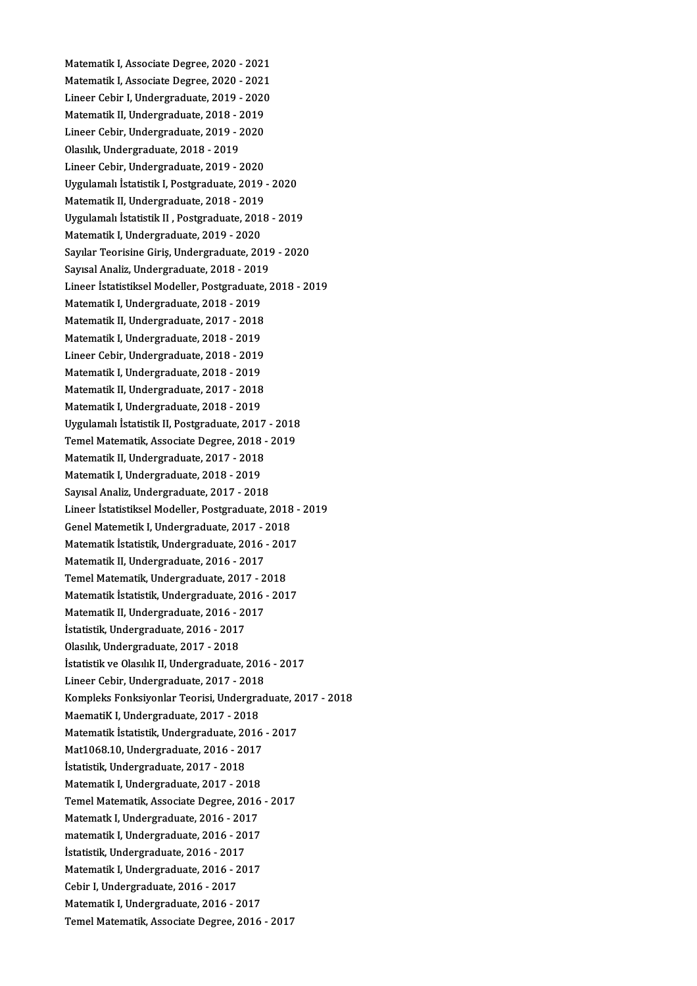Matematik I, Associate Degree, 2020 - 2021<br>Matematik I, Associate Degree, 2020 - 2021 Matematik I, Associate Degree, 2020 - 2021<br>Matematik I, Associate Degree, 2020 - 2021<br>Lineer Cebin I, Undergreduste, 2010 - 2020 Matematik I, Associate Degree, 2020 - 2021<br>Matematik I, Associate Degree, 2020 - 2021<br>Lineer Cebir I, Undergraduate, 2019 - 2020<br>Matematik II, Undergraduate, 2019 - 2010 Matematik I, Associate Degree, 2020 - 2021<br>Lineer Cebir I, Undergraduate, 2019 - 2020<br>Matematik II, Undergraduate, 2018 - 2019 Lineer Cebir I, Undergraduate, 2019 - 2020<br>Matematik II, Undergraduate, 2018 - 2019<br>Lineer Cebir, Undergraduate, 2019 - 2020<br>Olasılık Undergraduate, 2018 - 2019 Matematik II, Undergraduate, 2018 - 2<br>Lineer Cebir, Undergraduate, 2019 - 2<br>Olasılık, Undergraduate, 2018 - 2019<br>Lineer Cebir, Undergraduate, 2019 Lineer Cebir, Undergraduate, 2019 - 2020<br>Olasılık, Undergraduate, 2018 - 2019<br>Lineer Cebir, Undergraduate, 2019 - 2020<br>Urgulamalı İstatistik I. Bostaraduate, 2019 Olasılık, Undergraduate, 2018 - 2019<br>Lineer Cebir, Undergraduate, 2019 - 2020<br>Uygulamalı İstatistik I, Postgraduate, 2019 - 2020<br>Matematik II, Undergraduate, 2018 - 2019 Lineer Cebir, Undergraduate, 2019 - 2020 Uygulamalı İstatistik I, Postgraduate, 2019 - 2020<br>Matematik II, Undergraduate, 2018 - 2019<br>Uygulamalı İstatistik II , Postgraduate, 2018 - 2019<br>Matematik I, Undergraduate, 2019 - 2020 Matematik II, Undergraduate, 2018 - 2019<br>Uygulamalı İstatistik II , Postgraduate, 201<br>Matematik I, Undergraduate, 2019 - 2020<br>Sayılar Teorisine Ciris, Undergraduate, 20 Uygulamalı İstatistik II , Postgraduate, 2018 - 2019<br>Matematik I, Undergraduate, 2019 - 2020<br>Sayılar Teorisine Giriş, Undergraduate, 2019 - 2020<br>Sayılar Teorisine Giriş, Undergraduate, 2019 Matematik I, Undergraduate, 2019 - 2020<br>Sayılar Teorisine Giriş, Undergraduate, 2019 - 2020<br>Sayısal Analiz, Undergraduate, 2018 - 2019 Sayılar Teorisine Giriş, Undergraduate, 2019 - 2020<br>Sayısal Analiz, Undergraduate, 2018 - 2019<br>Lineer İstatistiksel Modeller, Postgraduate, 2018 - 2019<br>Matamatik I. Undergraduate, 2019 - 2019 Sayısal Analiz, Undergraduate, 2018 - 201<br>Lineer İstatistiksel Modeller, Postgraduate<br>Matematik I, Undergraduate, 2018 - 2019<br>Matematik II, Undergraduate, 2017 - 2019 Lineer İstatistiksel Modeller, Postgraduate,<br>Matematik I, Undergraduate, 2018 - 2019<br>Matematik II, Undergraduate, 2017 - 2018<br>Matematik I, Undergraduate, 2018 - 2010 Matematik I, Undergraduate, 2018 - 2019<br>Matematik II, Undergraduate, 2017 - 2018<br>Matematik I, Undergraduate, 2018 - 2019<br>Lineer Cebin Undergraduate, 2018 - 2019 Matematik II, Undergraduate, 2017 - 2018<br>Matematik I, Undergraduate, 2018 - 2019<br>Lineer Cebir, Undergraduate, 2018 - 2019<br>Matematik I, Undergraduate, 2018 - 2019 Matematik I, Undergraduate, 2018 - 2019<br>Lineer Cebir, Undergraduate, 2018 - 2019<br>Matematik I, Undergraduate, 2018 - 2019<br>Matematik II, Undergraduate, 2017 - 2019 Lineer Cebir, Undergraduate, 2018 - 2019<br>Matematik I, Undergraduate, 2018 - 2019<br>Matematik II, Undergraduate, 2017 - 2018<br>Matematik I, Undergraduate, 2018 - 2010 Matematik I, Undergraduate, 2018 - 2019<br>Matematik II, Undergraduate, 2017 - 2018<br>Matematik I, Undergraduate, 2018 - 2019<br>Uvaulamak İstatistik II, Bostaraduate, 2019 Matematik II, Undergraduate, 2017 - 2018<br>Matematik I, Undergraduate, 2018 - 2019<br>Uygulamalı İstatistik II, Postgraduate, 2017 - 2018 Matematik I, Undergraduate, 2018 - 2019<br>Uygulamalı İstatistik II, Postgraduate, 2017 - 2018<br>Temel Matematik, Associate Degree, 2018 - 2019<br>Matematik II, Undergraduate, 2017 - 2019 Uygulamalı İstatistik II, Postgraduate, 2017<br>Temel Matematik, Associate Degree, 2018 -<br>Matematik II, Undergraduate, 2017 - 2018<br>Matematik I. Undergraduate, 2019 - 2019 Temel Matematik, Associate Degree, 2018<br>Matematik II, Undergraduate, 2017 - 2018<br>Matematik I, Undergraduate, 2018 - 2019<br>Saureal Analiz, Undergraduate, 2017 - 2019 Matematik II, Undergraduate, 2017 - 2018<br>Matematik I, Undergraduate, 2018 - 2019<br>Sayısal Analiz, Undergraduate, 2017 - 2018 Lineer İstatistiksel Modeller, Postgraduate, 2018 - 2019 Genel Matemetik I, Undergraduate, 2017 - 2018 Lineer İstatistiksel Modeller, Postgraduate, 2018 -<br>Genel Matemetik I, Undergraduate, 2017 - 2018<br>Matematik İstatistik, Undergraduate, 2016 - 2017<br>Matematik II, Undergraduate, 2016 - 2017 Genel Matemetik I, Undergraduate, 2017 - 2<br>Matematik İstatistik, Undergraduate, 2016 -<br>Matematik II, Undergraduate, 2016 - 2017<br>Temel Matematik, Undergraduate, 2017 - 2 Matematik İstatistik, Undergraduate, 2016 - 201<br>Matematik II, Undergraduate, 2016 - 2017<br>Temel Matematik, Undergraduate, 2017 - 2018<br>Matematik İstatistik, Undergraduate, 2016 - 201 Matematik II, Undergraduate, 2016 - 2017<br>Temel Matematik, Undergraduate, 2017 - 2018<br>Matematik İstatistik, Undergraduate, 2016 - 2017<br>Matematik II, Undergraduate, 2016 - 2017 Temel Matematik, Undergraduate, 2017 - 2<br>Matematik İstatistik, Undergraduate, 2016 -<br>Matematik II, Undergraduate, 2016 - 2017<br>İstatistik Undergraduate, 2016 - 2017 Matematik İstatistik, Undergraduate, 2016<br>Matematik II, Undergraduate, 2016 - 2017<br>İstatistik, Undergraduate, 2016 - 2017<br>Olasılık Undergraduate, 2017 - 2019 Matematik II, Undergraduate, 2016 - 2017<br>İstatistik, Undergraduate, 2016 - 2017<br>Olasılık, Undergraduate, 2017 - 2018 İstatistik ve Olasılık II, Undergraduate, 2016 - 2017 Olasılık, Undergraduate, 2017 - 2018<br>İstatistik ve Olasılık II, Undergraduate, 2016<br>Lineer Cebir, Undergraduate, 2017 - 2018<br>Kompleks Fonksivenler Teorisi, Undergrad İstatistik ve Olasılık II, Undergraduate, 2016 - 2017<br>Lineer Cebir, Undergraduate, 2017 - 2018<br>Kompleks Fonksiyonlar Teorisi, Undergraduate, 2017 - 2018<br>Maamatik I, Undergraduate, 2017 - 2019 Lineer Cebir, Undergraduate, 2017 - 2018<br>Kompleks Fonksiyonlar Teorisi, Undergra<br>MaematiK I, Undergraduate, 2017 - 2018<br>Matematik İstatistik, Undergraduate, 2016 Kompleks Fonksiyonlar Teorisi, Undergraduate, 2<br>MaematiK I, Undergraduate, 2017 - 2018<br>Matematik İstatistik, Undergraduate, 2016 - 2017<br>Mat1068 10 Undergraduate, 2016 - 2017 MaematiK I, Undergraduate, 2017 - 2018<br>Matematik İstatistik, Undergraduate, 2016<br>Mat1068.10, Undergraduate, 2016 - 2017<br>İstatistik, Undergraduate, 2017 - 2019 Matematik İstatistik, Undergraduate, 2014<br>Mat1068.10, Undergraduate, 2016 - 20<br>İstatistik, Undergraduate, 2017 - 2018<br>Matematik I. Undergraduate, 2017 - 20 Mat1068.10, Undergraduate, 2016 - 2017<br>İstatistik, Undergraduate, 2017 - 2018<br>Matematik I, Undergraduate, 2017 - 2018<br>Tamel Matematik, Associate Degree, 2016 İstatistik, Undergraduate, 2017 - 2018<br>Matematik I, Undergraduate, 2017 - 2018<br>Temel Matematik, Associate Degree, 2016 - 2017<br>Matematik I, Undergraduate, 2016 - 2017 Matematik I, Undergraduate, 2017 - 2018<br>Temel Matematik, Associate Degree, 2016<br>Matematk I, Undergraduate, 2016 - 2017<br>matematik I, Undergraduate, 2016 - 2017 Temel Matematik, Associate Degree, 2016<br>Matematk I, Undergraduate, 2016 - 2017<br>matematik I, Undergraduate, 2016 - 2017<br><sup>I</sup>statistik Undergraduate, 2016 - 2017 Matematk I, Undergraduate, 2016 - 2017<br>matematik I, Undergraduate, 2016 - 2017<br>İstatistik, Undergraduate, 2016 - 2017 matematik I, Undergraduate, 2016 - 2017<br>İstatistik, Undergraduate, 2016 - 2017<br>Matematik I, Undergraduate, 2016 - 2017<br>Cehin I, Undergraduate, 2016 - 2017 İstatistik, Undergraduate, 2016 - 201<br>Matematik I, Undergraduate, 2016 - 2<br>Cebir I, Undergraduate, 2016 - 2017<br>Matematik I, Undergraduate, 2016 - 2 Matematik I, Undergraduate, 2016 - 2017<br>Cebir I, Undergraduate, 2016 - 2017<br>Matematik I, Undergraduate, 2016 - 2017<br>Temel Matematik, Associate Degree, 2016 Cebir I, Undergraduate, 2016 - 2017<br>Matematik I, Undergraduate, 2016 - 2017<br>Temel Matematik, Associate Degree, 2016 - 2017